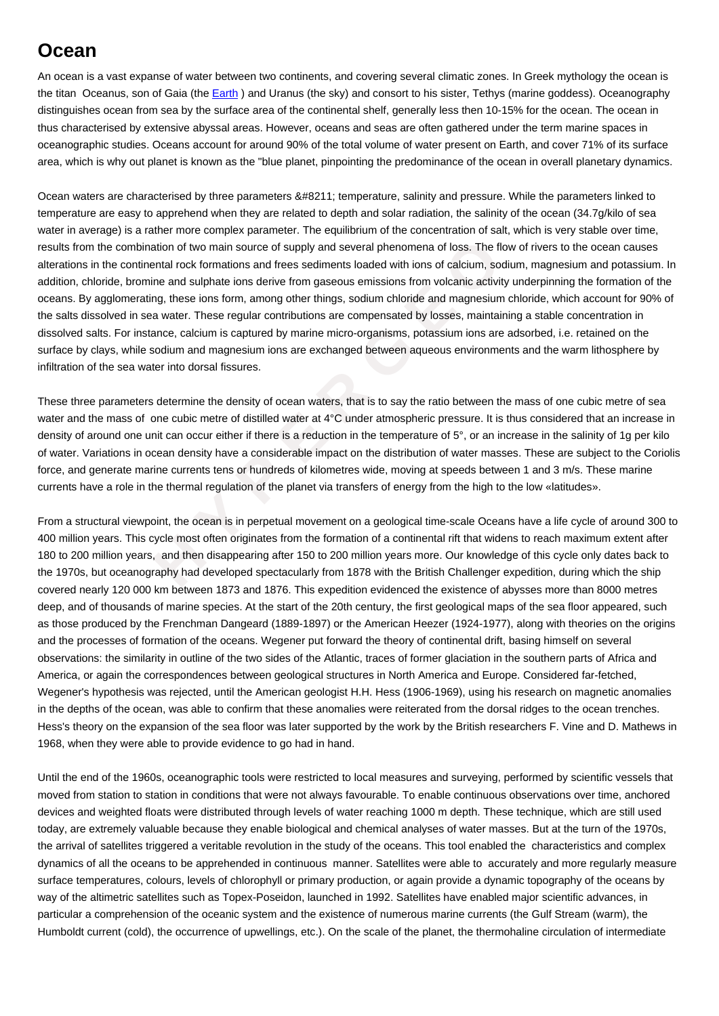An ocean is a vast expanse of water between two continents, and covering several climatic zones. In Greek mythology the ocean is the titan Oceanus, son of Gaia (the **Earth**) and Uranus (the sky) and consort to his sister, Tethys (marine goddess). Oceanography distinguishes ocean from sea by the surface area of the continental shelf, generally less then 10-15% for the ocean. The ocean in thus characterised by extensive abyssal areas. However, oceans and seas are often gathered under the term marine spaces in oceanographic studies. Oceans account for around 90% of the total volume of water present on Earth, and cover 71% of its surface area, which is why out planet is kno[wn as](http://www.hypergeo.eu/ecrire/?exec=mot&id_mot=492) the "blue planet, pinpointing the predominance of the ocean in overall planetary dynamics.

combination of two main source of supply and several phenomena of loss. The flow continental rock formations and frees sediments loaded with ions of calcium, sodium, promine and sulphate ions derive from gaseous emissions Ocean waters are characterised by three parameters – temperature, salinity and pressure. While the parameters linked to temperature are easy to apprehend when they are related to depth and solar radiation, the salinity of the ocean (34.7g/kilo of sea water in average) is a rather more complex parameter. The equilibrium of the concentration of salt, which is very stable over time, results from the combination of two main source of supply and several phenomena of loss. The flow of rivers to the ocean causes alterations in the continental rock formations and frees sediments loaded with ions of calcium, sodium, magnesium and potassium. In addition, chloride, bromine and sulphate ions derive from gaseous emissions from volcanic activity underpinning the formation of the oceans. By agglomerating, these ions form, among other things, sodium chloride and magnesium chloride, which account for 90% of the salts dissolved in sea water. These regular contributions are compensated by losses, maintaining a stable concentration in dissolved salts. For instance, calcium is captured by marine micro-organisms, potassium ions are adsorbed, i.e. retained on the surface by clays, while sodium and magnesium ions are exchanged between aqueous environments and the warm lithosphere by infiltration of the sea water into dorsal fissures.

These three parameters determine the density of ocean waters, that is to say the ratio between the mass of one cubic metre of sea water and the mass of one cubic metre of distilled water at 4°C under atmospheric pressure. It is thus considered that an increase in density of around one unit can occur either if there is a reduction in the temperature of 5°, or an increase in the salinity of 1g per kilo of water. Variations in ocean density have a considerable impact on the distribution of water masses. These are subject to the Coriolis force, and generate marine currents tens or hundreds of kilometres wide, moving at speeds between 1 and 3 m/s. These marine currents have a role in the thermal regulation of the planet via transfers of energy from the high to the low «latitudes».

From a structural viewpoint, the ocean is in perpetual movement on a geological time-scale Oceans have a life cycle of around 300 to 400 million years. This cycle most often originates from the formation of a continental rift that widens to reach maximum extent after 180 to 200 million years, and then disappearing after 150 to 200 million years more. Our knowledge of this cycle only dates back to the 1970s, but oceanography had developed spectacularly from 1878 with the British Challenger expedition, during which the ship covered nearly 120 000 km between 1873 and 1876. This expedition evidenced the existence of abysses more than 8000 metres deep, and of thousands of marine species. At the start of the 20th century, the first geological maps of the sea floor appeared, such as those produced by the Frenchman Dangeard (1889-1897) or the American Heezer (1924-1977), along with theories on the origins and the processes of formation of the oceans. Wegener put forward the theory of continental drift, basing himself on several observations: the similarity in outline of the two sides of the Atlantic, traces of former glaciation in the southern parts of Africa and America, or again the correspondences between geological structures in North America and Europe. Considered far-fetched, Wegener's hypothesis was rejected, until the American geologist H.H. Hess (1906-1969), using his research on magnetic anomalies in the depths of the ocean, was able to confirm that these anomalies were reiterated from the dorsal ridges to the ocean trenches. Hess's theory on the expansion of the sea floor was later supported by the work by the British researchers F. Vine and D. Mathews in 1968, when they were able to provide evidence to go had in hand.

Until the end of the 1960s, oceanographic tools were restricted to local measures and surveying, performed by scientific vessels that moved from station to station in conditions that were not always favourable. To enable continuous observations over time, anchored devices and weighted floats were distributed through levels of water reaching 1000 m depth. These technique, which are still used today, are extremely valuable because they enable biological and chemical analyses of water masses. But at the turn of the 1970s, the arrival of satellites triggered a veritable revolution in the study of the oceans. This tool enabled the characteristics and complex dynamics of all the oceans to be apprehended in continuous manner. Satellites were able to accurately and more regularly measure surface temperatures, colours, levels of chlorophyll or primary production, or again provide a dynamic topography of the oceans by way of the altimetric satellites such as Topex-Poseidon, launched in 1992. Satellites have enabled major scientific advances, in particular a comprehension of the oceanic system and the existence of numerous marine currents (the Gulf Stream (warm), the Humboldt current (cold), the occurrence of upwellings, etc.). On the scale of the planet, the thermohaline circulation of intermediate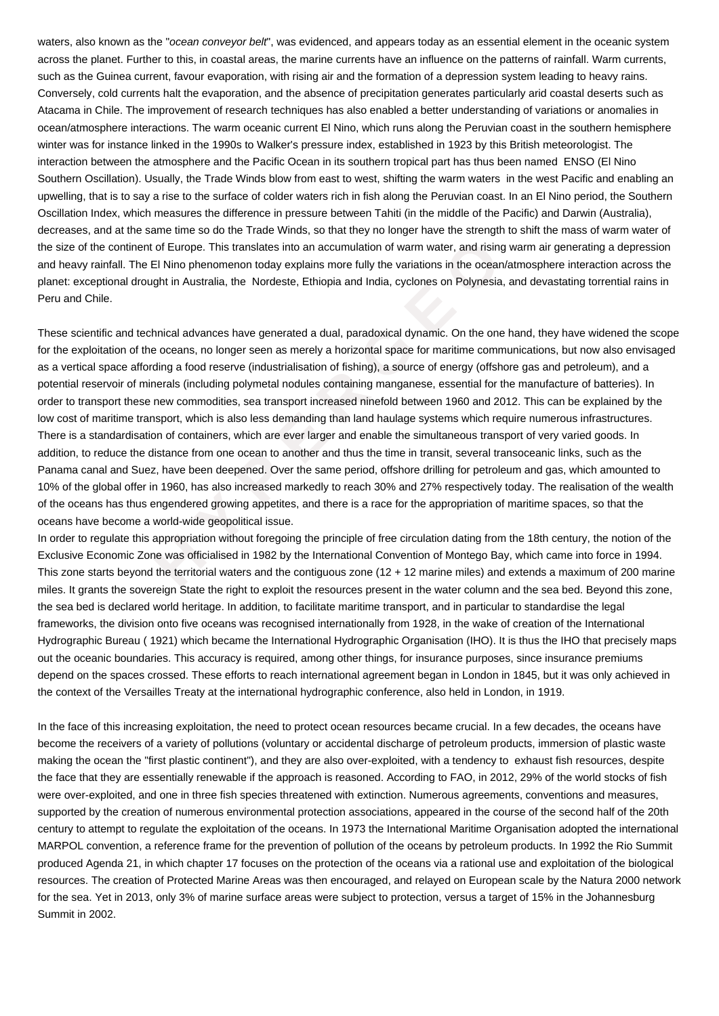waters, also known as the "ocean conveyor belt", was evidenced, and appears today as an essential element in the oceanic system across the planet. Further to this, in coastal areas, the marine currents have an influence on the patterns of rainfall. Warm currents, such as the Guinea current, favour evaporation, with rising air and the formation of a depression system leading to heavy rains. Conversely, cold currents halt the evaporation, and the absence of precipitation generates particularly arid coastal deserts such as Atacama in Chile. The improvement of research techniques has also enabled a better understanding of variations or anomalies in ocean/atmosphere interactions. The warm oceanic current El Nino, which runs along the Peruvian coast in the southern hemisphere winter was for instance linked in the 1990s to Walker's pressure index, established in 1923 by this British meteorologist. The interaction between the atmosphere and the Pacific Ocean in its southern tropical part has thus been named ENSO (El Nino Southern Oscillation). Usually, the Trade Winds blow from east to west, shifting the warm waters in the west Pacific and enabling an upwelling, that is to say a rise to the surface of colder waters rich in fish along the Peruvian coast. In an El Nino period, the Southern Oscillation Index, which measures the difference in pressure between Tahiti (in the middle of the Pacific) and Darwin (Australia), decreases, and at the same time so do the Trade Winds, so that they no longer have the strength to shift the mass of warm water of the size of the continent of Europe. This translates into an accumulation of warm water, and rising warm air generating a depression and heavy rainfall. The El Nino phenomenon today explains more fully the variations in the ocean/atmosphere interaction across the planet: exceptional drought in Australia, the Nordeste, Ethiopia and India, cyclones on Polynesia, and devastating torrential rains in Peru and Chile.

ntinent of Europe. This translates into an accumulation of warm water, and rising water and rising water. The El Nino phenomenon today explains more fully the variations in the ocean/atral drought in Australia, the Nordest These scientific and technical advances have generated a dual, paradoxical dynamic. On the one hand, they have widened the scope for the exploitation of the oceans, no longer seen as merely a horizontal space for maritime communications, but now also envisaged as a vertical space affording a food reserve (industrialisation of fishing), a source of energy (offshore gas and petroleum), and a potential reservoir of minerals (including polymetal nodules containing manganese, essential for the manufacture of batteries). In order to transport these new commodities, sea transport increased ninefold between 1960 and 2012. This can be explained by the low cost of maritime transport, which is also less demanding than land haulage systems which require numerous infrastructures. There is a standardisation of containers, which are ever larger and enable the simultaneous transport of very varied goods. In addition, to reduce the distance from one ocean to another and thus the time in transit, several transoceanic links, such as the Panama canal and Suez, have been deepened. Over the same period, offshore drilling for petroleum and gas, which amounted to 10% of the global offer in 1960, has also increased markedly to reach 30% and 27% respectively today. The realisation of the wealth of the oceans has thus engendered growing appetites, and there is a race for the appropriation of maritime spaces, so that the oceans have become a world-wide geopolitical issue.

In order to regulate this appropriation without foregoing the principle of free circulation dating from the 18th century, the notion of the Exclusive Economic Zone was officialised in 1982 by the International Convention of Montego Bay, which came into force in 1994. This zone starts beyond the territorial waters and the contiguous zone (12 + 12 marine miles) and extends a maximum of 200 marine miles. It grants the sovereign State the right to exploit the resources present in the water column and the sea bed. Beyond this zone, the sea bed is declared world heritage. In addition, to facilitate maritime transport, and in particular to standardise the legal frameworks, the division onto five oceans was recognised internationally from 1928, in the wake of creation of the International Hydrographic Bureau ( 1921) which became the International Hydrographic Organisation (IHO). It is thus the IHO that precisely maps out the oceanic boundaries. This accuracy is required, among other things, for insurance purposes, since insurance premiums depend on the spaces crossed. These efforts to reach international agreement began in London in 1845, but it was only achieved in the context of the Versailles Treaty at the international hydrographic conference, also held in London, in 1919.

In the face of this increasing exploitation, the need to protect ocean resources became crucial. In a few decades, the oceans have become the receivers of a variety of pollutions (voluntary or accidental discharge of petroleum products, immersion of plastic waste making the ocean the "first plastic continent"), and they are also over-exploited, with a tendency to exhaust fish resources, despite the face that they are essentially renewable if the approach is reasoned. According to FAO, in 2012, 29% of the world stocks of fish were over-exploited, and one in three fish species threatened with extinction. Numerous agreements, conventions and measures, supported by the creation of numerous environmental protection associations, appeared in the course of the second half of the 20th century to attempt to regulate the exploitation of the oceans. In 1973 the International Maritime Organisation adopted the international MARPOL convention, a reference frame for the prevention of pollution of the oceans by petroleum products. In 1992 the Rio Summit produced Agenda 21, in which chapter 17 focuses on the protection of the oceans via a rational use and exploitation of the biological resources. The creation of Protected Marine Areas was then encouraged, and relayed on European scale by the Natura 2000 network for the sea. Yet in 2013, only 3% of marine surface areas were subject to protection, versus a target of 15% in the Johannesburg Summit in 2002.